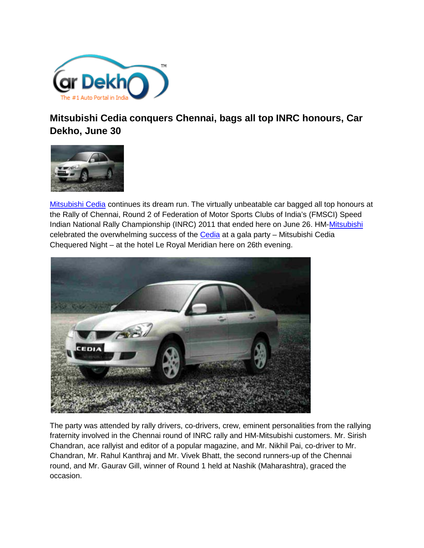

**Mitsubishi Cedia conquers Chennai, bags all top INRC honours, Car Dekho, June 30**



[Mitsubishi Cedia](http://www.cardekho.com/carmodels/Mitsubishi/Mitsubishi_Cedia) continues its dream run. The virtually unbeatable car bagged all top honours at the Rally of Chennai, Round 2 of Federation of Motor Sports Clubs of India's (FMSCI) Speed Indian National Rally Championship (INRC) 2011 that ended here on June 26. HM[-Mitsubishi](http://www.cardekho.com/cars/Mitsubishi) celebrated the overwhelming success of the [Cedia](http://www.cardekho.com/carmodels/Mitsubishi/Mitsubishi_Cedia) at a gala party – Mitsubishi Cedia Chequered Night – at the hotel Le Royal Meridian here on 26th evening.



The party was attended by rally drivers, co-drivers, crew, eminent personalities from the rallying fraternity involved in the Chennai round of INRC rally and HM-Mitsubishi customers. Mr. Sirish Chandran, ace rallyist and editor of a popular magazine, and Mr. Nikhil Pai, co-driver to Mr. Chandran, Mr. Rahul Kanthraj and Mr. Vivek Bhatt, the second runners-up of the Chennai round, and Mr. Gaurav Gill, winner of Round 1 held at Nashik (Maharashtra), graced the occasion.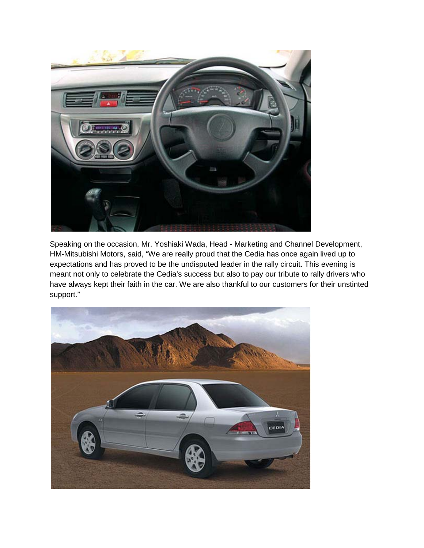

Speaking on the occasion, Mr. Yoshiaki Wada, Head - Marketing and Channel Development, HM-Mitsubishi Motors, said, "We are really proud that the Cedia has once again lived up to expectations and has proved to be the undisputed leader in the rally circuit. This evening is meant not only to celebrate the Cedia's success but also to pay our tribute to rally drivers who have always kept their faith in the car. We are also thankful to our customers for their unstinted support."